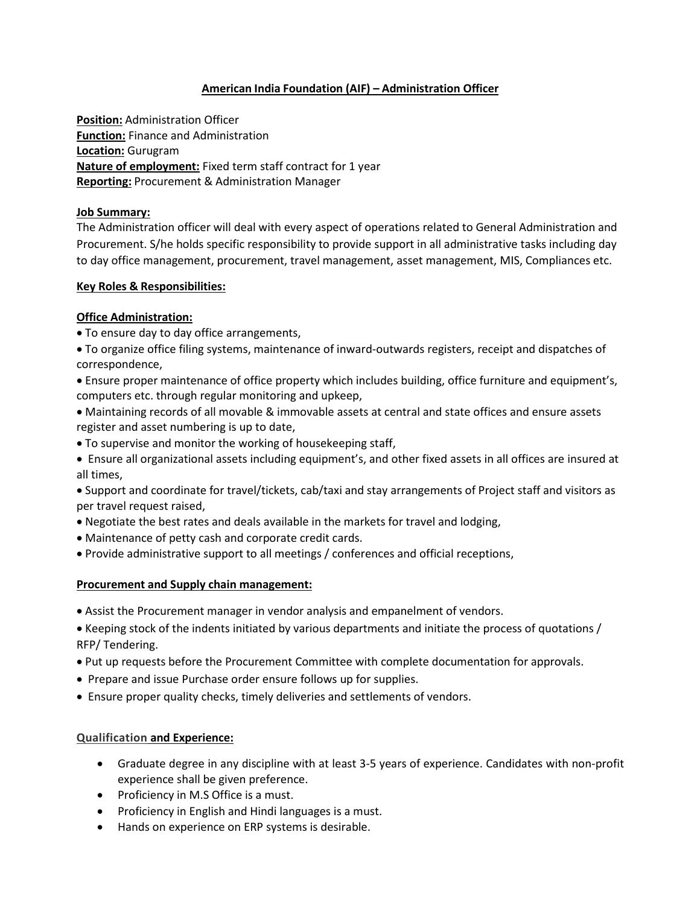# **American India Foundation (AIF) – Administration Officer**

**Position:** Administration Officer **Function:** Finance and Administration **Location:** Gurugram **Nature of employment:** Fixed term staff contract for 1 year **Reporting:** Procurement & Administration Manager

#### **Job Summary:**

The Administration officer will deal with every aspect of operations related to General Administration and Procurement. S/he holds specific responsibility to provide support in all administrative tasks including day to day office management, procurement, travel management, asset management, MIS, Compliances etc.

#### **Key Roles & Responsibilities:**

## **Office Administration:**

- To ensure day to day office arrangements,
- To organize office filing systems, maintenance of inward-outwards registers, receipt and dispatches of correspondence,
- Ensure proper maintenance of office property which includes building, office furniture and equipment's, computers etc. through regular monitoring and upkeep,
- Maintaining records of all movable & immovable assets at central and state offices and ensure assets register and asset numbering is up to date,
- To supervise and monitor the working of housekeeping staff,
- Ensure all organizational assets including equipment's, and other fixed assets in all offices are insured at all times,
- Support and coordinate for travel/tickets, cab/taxi and stay arrangements of Project staff and visitors as per travel request raised,
- Negotiate the best rates and deals available in the markets for travel and lodging,
- Maintenance of petty cash and corporate credit cards.
- Provide administrative support to all meetings / conferences and official receptions,

### **Procurement and Supply chain management:**

- Assist the Procurement manager in vendor analysis and empanelment of vendors.
- Keeping stock of the indents initiated by various departments and initiate the process of quotations / RFP/ Tendering.
- Put up requests before the Procurement Committee with complete documentation for approvals.
- Prepare and issue Purchase order ensure follows up for supplies.
- Ensure proper quality checks, timely deliveries and settlements of vendors.

### **Qualification and Experience:**

- Graduate degree in any discipline with at least 3-5 years of experience. Candidates with non-profit experience shall be given preference.
- Proficiency in M.S Office is a must.
- Proficiency in English and Hindi languages is a must.
- Hands on experience on ERP systems is desirable.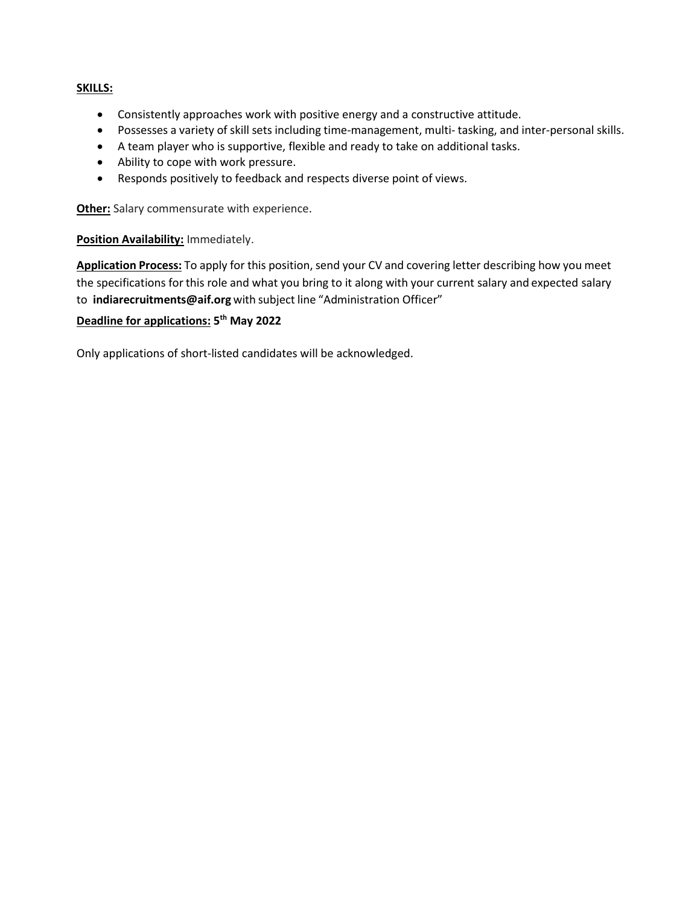## **SKILLS:**

- Consistently approaches work with positive energy and a constructive attitude.
- Possesses a variety of skill sets including time-management, multi- tasking, and inter-personal skills.
- A team player who is supportive, flexible and ready to take on additional tasks.
- Ability to cope with work pressure.
- Responds positively to feedback and respects diverse point of views.

**Other:** Salary commensurate with experience.

### **Position Availability:** Immediately.

**Application Process:** To apply for this position, send your CV and covering letter describing how you meet the specifications for this role and what you bring to it along with your current salary and expected salary to **[indiarecruitments@aif.org](mailto:livelihoodrecruitments@aif.org)** with subject line "Administration Officer"

# **Deadline for applications: 5 th May 2022**

Only applications of short-listed candidates will be acknowledged.